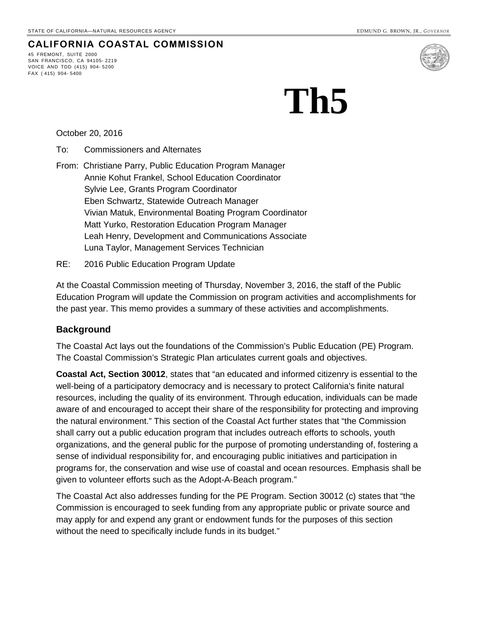#### **CALIFORNIA COASTAL COMMISSION**

45 FREMONT, SUITE 2000 SAN FRANCISCO, CA 94105- 2219 VOICE AND TDD (415) 904- 5200 FAX ( 415) 904- 5400



# **Th5**

October 20, 2016

- To: Commissioners and Alternates
- From: Christiane Parry, Public Education Program Manager Annie Kohut Frankel, School Education Coordinator Sylvie Lee, Grants Program Coordinator Eben Schwartz, Statewide Outreach Manager Vivian Matuk, Environmental Boating Program Coordinator Matt Yurko, Restoration Education Program Manager Leah Henry, Development and Communications Associate Luna Taylor, Management Services Technician
- RE: 2016 Public Education Program Update

At the Coastal Commission meeting of Thursday, November 3, 2016, the staff of the Public Education Program will update the Commission on program activities and accomplishments for the past year. This memo provides a summary of these activities and accomplishments.

#### **Background**

The Coastal Act lays out the foundations of the Commission's Public Education (PE) Program. The Coastal Commission's Strategic Plan articulates current goals and objectives.

**Coastal Act, Section 30012**, states that "an educated and informed citizenry is essential to the well-being of a participatory democracy and is necessary to protect California's finite natural resources, including the quality of its environment. Through education, individuals can be made aware of and encouraged to accept their share of the responsibility for protecting and improving the natural environment." This section of the Coastal Act further states that "the Commission shall carry out a public education program that includes outreach efforts to schools, youth organizations, and the general public for the purpose of promoting understanding of, fostering a sense of individual responsibility for, and encouraging public initiatives and participation in programs for, the conservation and wise use of coastal and ocean resources. Emphasis shall be given to volunteer efforts such as the Adopt-A-Beach program."

The Coastal Act also addresses funding for the PE Program. Section 30012 (c) states that "the Commission is encouraged to seek funding from any appropriate public or private source and may apply for and expend any grant or endowment funds for the purposes of this section without the need to specifically include funds in its budget."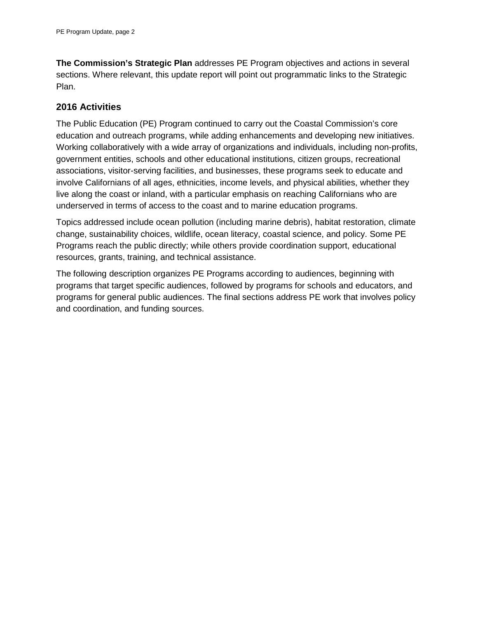**The Commission's Strategic Plan** addresses PE Program objectives and actions in several sections. Where relevant, this update report will point out programmatic links to the Strategic Plan.

#### **2016 Activities**

The Public Education (PE) Program continued to carry out the Coastal Commission's core education and outreach programs, while adding enhancements and developing new initiatives. Working collaboratively with a wide array of organizations and individuals, including non-profits, government entities, schools and other educational institutions, citizen groups, recreational associations, visitor-serving facilities, and businesses, these programs seek to educate and involve Californians of all ages, ethnicities, income levels, and physical abilities, whether they live along the coast or inland, with a particular emphasis on reaching Californians who are underserved in terms of access to the coast and to marine education programs.

Topics addressed include ocean pollution (including marine debris), habitat restoration, climate change, sustainability choices, wildlife, ocean literacy, coastal science, and policy. Some PE Programs reach the public directly; while others provide coordination support, educational resources, grants, training, and technical assistance.

The following description organizes PE Programs according to audiences, beginning with programs that target specific audiences, followed by programs for schools and educators, and programs for general public audiences. The final sections address PE work that involves policy and coordination, and funding sources.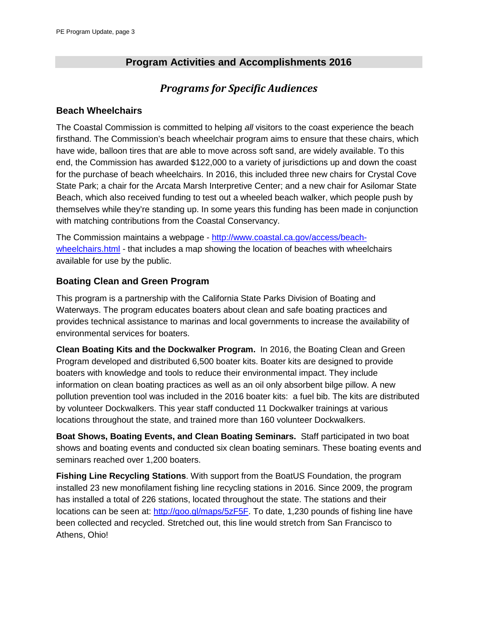## **Program Activities and Accomplishments 2016**

## *Programs for Specific Audiences*

#### **Beach Wheelchairs**

The Coastal Commission is committed to helping *all* visitors to the coast experience the beach firsthand. The Commission's beach wheelchair program aims to ensure that these chairs, which have wide, balloon tires that are able to move across soft sand, are widely available. To this end, the Commission has awarded \$122,000 to a variety of jurisdictions up and down the coast for the purchase of beach wheelchairs. In 2016, this included three new chairs for Crystal Cove State Park; a chair for the Arcata Marsh Interpretive Center; and a new chair for Asilomar State Beach, which also received funding to test out a wheeled beach walker, which people push by themselves while they're standing up. In some years this funding has been made in conjunction with matching contributions from the Coastal Conservancy.

The Commission maintains a webpage - [http://www.coastal.ca.gov/access/beach](http://www.coastal.ca.gov/access/beach-wheelchairs.html)[wheelchairs.html](http://www.coastal.ca.gov/access/beach-wheelchairs.html) - that includes a map showing the location of beaches with wheelchairs available for use by the public.

#### **Boating Clean and Green Program**

This program is a partnership with the California State Parks Division of Boating and Waterways. The program educates boaters about clean and safe boating practices and provides technical assistance to marinas and local governments to increase the availability of environmental services for boaters.

**Clean Boating Kits and the Dockwalker Program.** In 2016, the Boating Clean and Green Program developed and distributed 6,500 boater kits. Boater kits are designed to provide boaters with knowledge and tools to reduce their environmental impact. They include information on clean boating practices as well as an oil only absorbent bilge pillow. A new pollution prevention tool was included in the 2016 boater kits: a fuel bib. The kits are distributed by volunteer Dockwalkers. This year staff conducted 11 Dockwalker trainings at various locations throughout the state, and trained more than 160 volunteer Dockwalkers.

**Boat Shows, Boating Events, and Clean Boating Seminars.** Staff participated in two boat shows and boating events and conducted six clean boating seminars. These boating events and seminars reached over 1,200 boaters.

**Fishing Line Recycling Stations**. With support from the BoatUS Foundation, the program installed 23 new monofilament fishing line recycling stations in 2016. Since 2009, the program has installed a total of 226 stations, located throughout the state. The stations and their locations can be seen at: [http://goo.gl/maps/5zF5F.](http://goo.gl/maps/5zF5F) To date, 1,230 pounds of fishing line have been collected and recycled. Stretched out, this line would stretch from San Francisco to Athens, Ohio!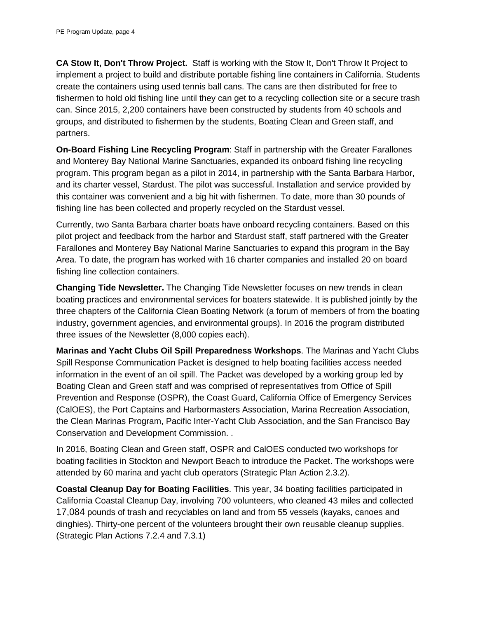**CA Stow It, Don't Throw Project.** Staff is working with the Stow It, Don't Throw It Project to implement a project to build and distribute portable fishing line containers in California. Students create the containers using used tennis ball cans. The cans are then distributed for free to fishermen to hold old fishing line until they can get to a recycling collection site or a secure trash can. Since 2015, 2,200 containers have been constructed by students from 40 schools and groups, and distributed to fishermen by the students, Boating Clean and Green staff, and partners.

**On-Board Fishing Line Recycling Program**: Staff in partnership with the Greater Farallones and Monterey Bay National Marine Sanctuaries, expanded its onboard fishing line recycling program. This program began as a pilot in 2014, in partnership with the Santa Barbara Harbor, and its charter vessel, Stardust. The pilot was successful. Installation and service provided by this container was convenient and a big hit with fishermen. To date, more than 30 pounds of fishing line has been collected and properly recycled on the Stardust vessel.

Currently, two Santa Barbara charter boats have onboard recycling containers. Based on this pilot project and feedback from the harbor and Stardust staff, staff partnered with the Greater Farallones and Monterey Bay National Marine Sanctuaries to expand this program in the Bay Area. To date, the program has worked with 16 charter companies and installed 20 on board fishing line collection containers.

**Changing Tide Newsletter.** The Changing Tide Newsletter focuses on new trends in clean boating practices and environmental services for boaters statewide. It is published jointly by the three chapters of the California Clean Boating Network (a forum of members of from the boating industry, government agencies, and environmental groups). In 2016 the program distributed three issues of the Newsletter (8,000 copies each).

**Marinas and Yacht Clubs Oil Spill Preparedness Workshops**. The Marinas and Yacht Clubs Spill Response Communication Packet is designed to help boating facilities access needed information in the event of an oil spill. The Packet was developed by a working group led by Boating Clean and Green staff and was comprised of representatives from Office of Spill Prevention and Response (OSPR), the Coast Guard, California Office of Emergency Services (CalOES), the Port Captains and Harbormasters Association, Marina Recreation Association, the Clean Marinas Program, Pacific Inter-Yacht Club Association, and the San Francisco Bay Conservation and Development Commission. .

In 2016, Boating Clean and Green staff, OSPR and CalOES conducted two workshops for boating facilities in Stockton and Newport Beach to introduce the Packet. The workshops were attended by 60 marina and yacht club operators (Strategic Plan Action 2.3.2).

**Coastal Cleanup Day for Boating Facilities**. This year, 34 boating facilities participated in California Coastal Cleanup Day, involving 700 volunteers, who cleaned 43 miles and collected 17,084 pounds of trash and recyclables on land and from 55 vessels (kayaks, canoes and dinghies). Thirty-one percent of the volunteers brought their own reusable cleanup supplies. (Strategic Plan Actions 7.2.4 and 7.3.1)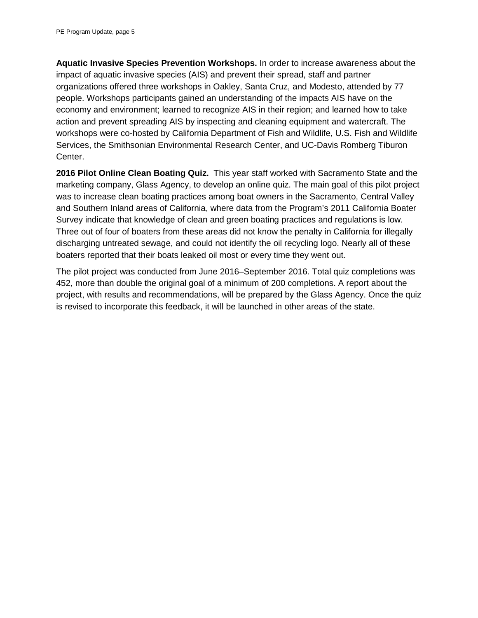**Aquatic Invasive Species Prevention Workshops.** In order to increase awareness about the impact of aquatic invasive species (AIS) and prevent their spread, staff and partner organizations offered three workshops in Oakley, Santa Cruz, and Modesto, attended by 77 people. Workshops participants gained an understanding of the impacts AIS have on the economy and environment; learned to recognize AIS in their region; and learned how to take action and prevent spreading AIS by inspecting and cleaning equipment and watercraft. The workshops were co-hosted by California Department of Fish and Wildlife, U.S. Fish and Wildlife Services, the Smithsonian Environmental Research Center, and UC-Davis Romberg Tiburon Center.

**2016 Pilot Online Clean Boating Quiz.** This year staff worked with Sacramento State and the marketing company, Glass Agency, to develop an online quiz. The main goal of this pilot project was to increase clean boating practices among boat owners in the Sacramento, Central Valley and Southern Inland areas of California, where data from the Program's 2011 California Boater Survey indicate that knowledge of clean and green boating practices and regulations is low. Three out of four of boaters from these areas did not know the penalty in California for illegally discharging untreated sewage, and could not identify the oil recycling logo. Nearly all of these boaters reported that their boats leaked oil most or every time they went out.

The pilot project was conducted from June 2016–September 2016. Total quiz completions was 452, more than double the original goal of a minimum of 200 completions. A report about the project, with results and recommendations, will be prepared by the Glass Agency. Once the quiz is revised to incorporate this feedback, it will be launched in other areas of the state.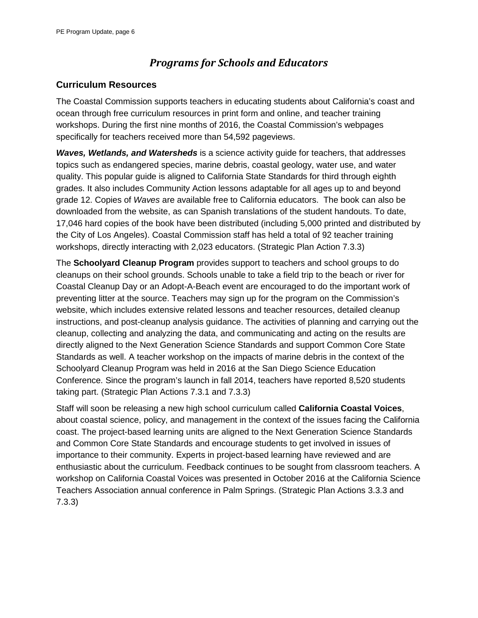## *Programs for Schools and Educators*

#### **Curriculum Resources**

The Coastal Commission supports teachers in educating students about California's coast and ocean through free curriculum resources in print form and online, and teacher training workshops. During the first nine months of 2016, the Coastal Commission's webpages specifically for teachers received more than 54,592 pageviews.

*Waves, Wetlands, and Watersheds* is a science activity guide for teachers, that addresses topics such as endangered species, marine debris, coastal geology, water use, and water quality. This popular guide is aligned to California State Standards for third through eighth grades. It also includes Community Action lessons adaptable for all ages up to and beyond grade 12. Copies of *Waves* are available free to California educators. The book can also be downloaded from the website, as can Spanish translations of the student handouts. To date, 17,046 hard copies of the book have been distributed (including 5,000 printed and distributed by the City of Los Angeles). Coastal Commission staff has held a total of 92 teacher training workshops, directly interacting with 2,023 educators. (Strategic Plan Action 7.3.3)

The **Schoolyard Cleanup Program** provides support to teachers and school groups to do cleanups on their school grounds. Schools unable to take a field trip to the beach or river for Coastal Cleanup Day or an Adopt-A-Beach event are encouraged to do the important work of preventing litter at the source. Teachers may sign up for the program on the Commission's website, which includes extensive related lessons and teacher resources, detailed cleanup instructions, and post-cleanup analysis guidance. The activities of planning and carrying out the cleanup, collecting and analyzing the data, and communicating and acting on the results are directly aligned to the Next Generation Science Standards and support Common Core State Standards as well. A teacher workshop on the impacts of marine debris in the context of the Schoolyard Cleanup Program was held in 2016 at the San Diego Science Education Conference. Since the program's launch in fall 2014, teachers have reported 8,520 students taking part. (Strategic Plan Actions 7.3.1 and 7.3.3)

Staff will soon be releasing a new high school curriculum called **California Coastal Voices**, about coastal science, policy, and management in the context of the issues facing the California coast. The project-based learning units are aligned to the Next Generation Science Standards and Common Core State Standards and encourage students to get involved in issues of importance to their community. Experts in project-based learning have reviewed and are enthusiastic about the curriculum. Feedback continues to be sought from classroom teachers. A workshop on California Coastal Voices was presented in October 2016 at the California Science Teachers Association annual conference in Palm Springs. (Strategic Plan Actions 3.3.3 and 7.3.3)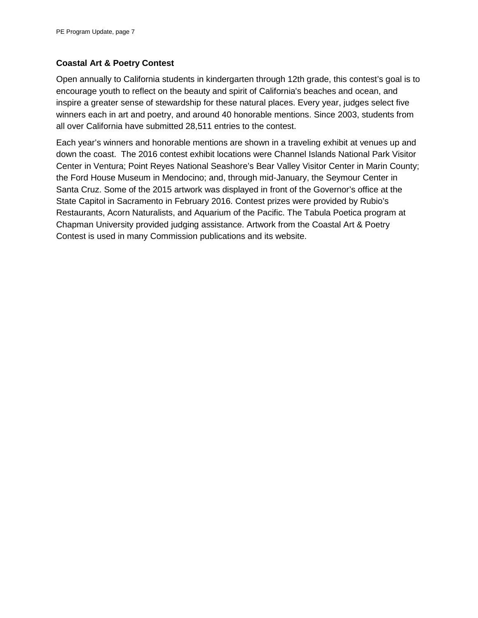#### **Coastal Art & Poetry Contest**

Open annually to California students in kindergarten through 12th grade, this contest's goal is to encourage youth to reflect on the beauty and spirit of California's beaches and ocean, and inspire a greater sense of stewardship for these natural places. Every year, judges select five winners each in art and poetry, and around 40 honorable mentions. Since 2003, students from all over California have submitted 28,511 entries to the contest.

Each year's winners and honorable mentions are shown in a traveling exhibit at venues up and down the coast. The 2016 contest exhibit locations were Channel Islands National Park Visitor Center in Ventura; Point Reyes National Seashore's Bear Valley Visitor Center in Marin County; the Ford House Museum in Mendocino; and, through mid-January, the Seymour Center in Santa Cruz. Some of the 2015 artwork was displayed in front of the Governor's office at the State Capitol in Sacramento in February 2016. Contest prizes were provided by Rubio's Restaurants, Acorn Naturalists, and Aquarium of the Pacific. The Tabula Poetica program at Chapman University provided judging assistance. Artwork from the Coastal Art & Poetry Contest is used in many Commission publications and its website.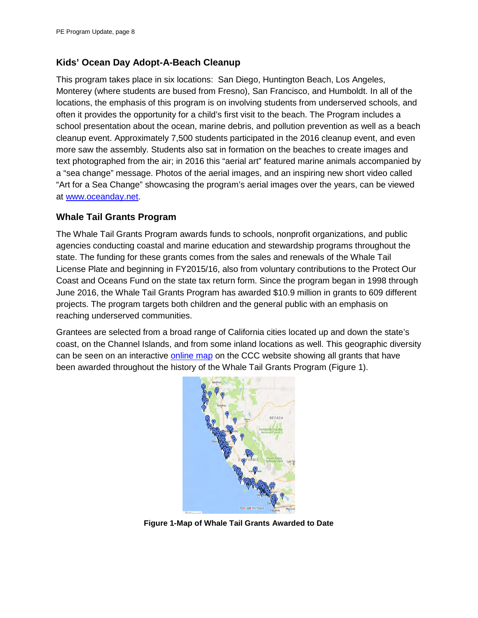#### **Kids' Ocean Day Adopt-A-Beach Cleanup**

This program takes place in six locations: San Diego, Huntington Beach, Los Angeles, Monterey (where students are bused from Fresno), San Francisco, and Humboldt. In all of the locations, the emphasis of this program is on involving students from underserved schools, and often it provides the opportunity for a child's first visit to the beach. The Program includes a school presentation about the ocean, marine debris, and pollution prevention as well as a beach cleanup event. Approximately 7,500 students participated in the 2016 cleanup event, and even more saw the assembly. Students also sat in formation on the beaches to create images and text photographed from the air; in 2016 this "aerial art" featured marine animals accompanied by a "sea change" message. Photos of the aerial images, and an inspiring new short video called "Art for a Sea Change" showcasing the program's aerial images over the years, can be viewed at [www.oceanday.net.](http://www.oceanday.net/)

#### **Whale Tail Grants Program**

The Whale Tail Grants Program awards funds to schools, nonprofit organizations, and public agencies conducting coastal and marine education and stewardship programs throughout the state. The funding for these grants comes from the sales and renewals of the Whale Tail License Plate and beginning in FY2015/16, also from voluntary contributions to the Protect Our Coast and Oceans Fund on the state tax return form. Since the program began in 1998 through June 2016, the Whale Tail Grants Program has awarded \$10.9 million in grants to 609 different projects. The program targets both children and the general public with an emphasis on reaching underserved communities.

Grantees are selected from a broad range of California cities located up and down the state's coast, on the Channel Islands, and from some inland locations as well. This geographic diversity can be seen on an interactive [online map](https://www.google.com/maps/d/viewer?mid=1ScEAsspJq2Mf2Wr1UHylrxWOhxg&usp=sharing) on the CCC website showing all grants that have been awarded throughout the history of the Whale Tail Grants Program (Figure 1).



**Figure 1-Map of Whale Tail Grants Awarded to Date**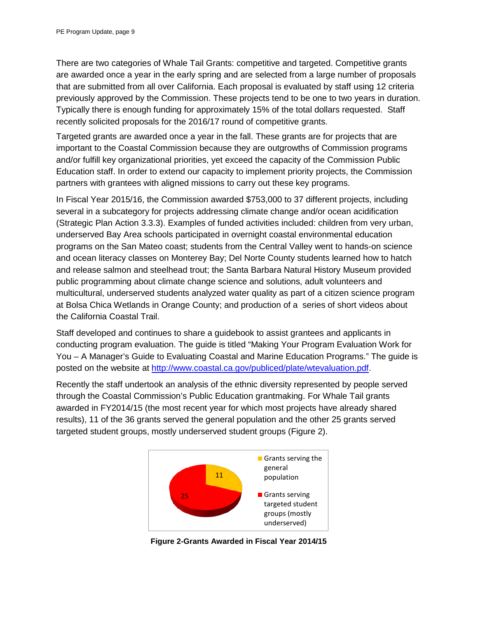There are two categories of Whale Tail Grants: competitive and targeted. Competitive grants are awarded once a year in the early spring and are selected from a large number of proposals that are submitted from all over California. Each proposal is evaluated by staff using 12 criteria previously approved by the Commission. These projects tend to be one to two years in duration. Typically there is enough funding for approximately 15% of the total dollars requested. Staff recently solicited proposals for the 2016/17 round of competitive grants.

Targeted grants are awarded once a year in the fall. These grants are for projects that are important to the Coastal Commission because they are outgrowths of Commission programs and/or fulfill key organizational priorities, yet exceed the capacity of the Commission Public Education staff. In order to extend our capacity to implement priority projects, the Commission partners with grantees with aligned missions to carry out these key programs.

In Fiscal Year 2015/16, the Commission awarded \$753,000 to 37 different projects, including several in a subcategory for projects addressing climate change and/or ocean acidification (Strategic Plan Action 3.3.3). Examples of funded activities included: children from very urban, underserved Bay Area schools participated in overnight coastal environmental education programs on the San Mateo coast; students from the Central Valley went to hands-on science and ocean literacy classes on Monterey Bay; Del Norte County students learned how to hatch and release salmon and steelhead trout; the Santa Barbara Natural History Museum provided public programming about climate change science and solutions, adult volunteers and multicultural, underserved students analyzed water quality as part of a citizen science program at Bolsa Chica Wetlands in Orange County; and production of a series of short videos about the California Coastal Trail.

Staff developed and continues to share a guidebook to assist grantees and applicants in conducting program evaluation. The guide is titled "Making Your Program Evaluation Work for You – A Manager's Guide to Evaluating Coastal and Marine Education Programs." The guide is posted on the website at [http://www.coastal.ca.gov/publiced/plate/wtevaluation.pdf.](http://www.coastal.ca.gov/publiced/plate/wtevaluation.pdf)

Recently the staff undertook an analysis of the ethnic diversity represented by people served through the Coastal Commission's Public Education grantmaking. For Whale Tail grants awarded in FY2014/15 (the most recent year for which most projects have already shared results), 11 of the 36 grants served the general population and the other 25 grants served targeted student groups, mostly underserved student groups (Figure 2).



**Figure 2-Grants Awarded in Fiscal Year 2014/15**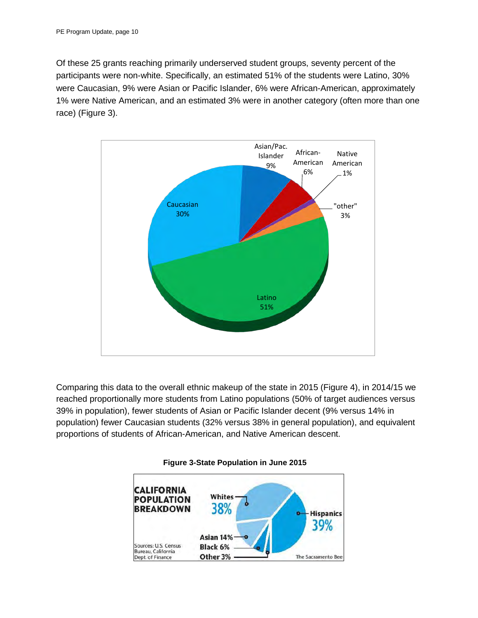Of these 25 grants reaching primarily underserved student groups, seventy percent of the participants were non-white. Specifically, an estimated 51% of the students were Latino, 30% were Caucasian, 9% were Asian or Pacific Islander, 6% were African-American, approximately 1% were Native American, and an estimated 3% were in another category (often more than one race) (Figure 3).



Comparing this data to the overall ethnic makeup of the state in 2015 (Figure 4), in 2014/15 we reached proportionally more students from Latino populations (50% of target audiences versus 39% in population), fewer students of Asian or Pacific Islander decent (9% versus 14% in population) fewer Caucasian students (32% versus 38% in general population), and equivalent proportions of students of African-American, and Native American descent.



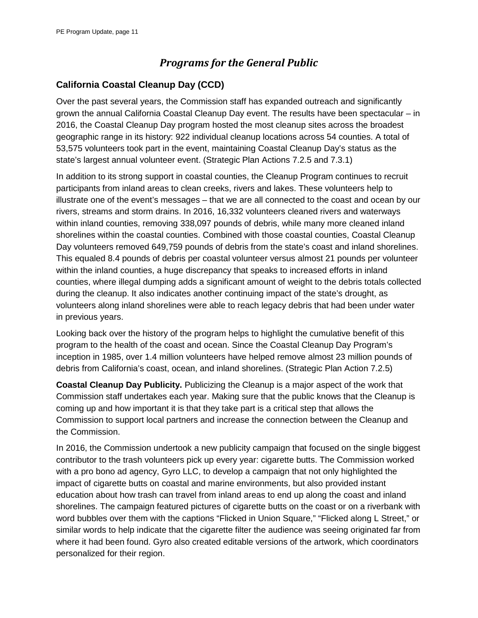## *Programs for the General Public*

#### **California Coastal Cleanup Day (CCD)**

Over the past several years, the Commission staff has expanded outreach and significantly grown the annual California Coastal Cleanup Day event. The results have been spectacular – in 2016, the Coastal Cleanup Day program hosted the most cleanup sites across the broadest geographic range in its history: 922 individual cleanup locations across 54 counties. A total of 53,575 volunteers took part in the event, maintaining Coastal Cleanup Day's status as the state's largest annual volunteer event. (Strategic Plan Actions 7.2.5 and 7.3.1)

In addition to its strong support in coastal counties, the Cleanup Program continues to recruit participants from inland areas to clean creeks, rivers and lakes. These volunteers help to illustrate one of the event's messages – that we are all connected to the coast and ocean by our rivers, streams and storm drains. In 2016, 16,332 volunteers cleaned rivers and waterways within inland counties, removing 338,097 pounds of debris, while many more cleaned inland shorelines within the coastal counties. Combined with those coastal counties, Coastal Cleanup Day volunteers removed 649,759 pounds of debris from the state's coast and inland shorelines. This equaled 8.4 pounds of debris per coastal volunteer versus almost 21 pounds per volunteer within the inland counties, a huge discrepancy that speaks to increased efforts in inland counties, where illegal dumping adds a significant amount of weight to the debris totals collected during the cleanup. It also indicates another continuing impact of the state's drought, as volunteers along inland shorelines were able to reach legacy debris that had been under water in previous years.

Looking back over the history of the program helps to highlight the cumulative benefit of this program to the health of the coast and ocean. Since the Coastal Cleanup Day Program's inception in 1985, over 1.4 million volunteers have helped remove almost 23 million pounds of debris from California's coast, ocean, and inland shorelines. (Strategic Plan Action 7.2.5)

**Coastal Cleanup Day Publicity.** Publicizing the Cleanup is a major aspect of the work that Commission staff undertakes each year. Making sure that the public knows that the Cleanup is coming up and how important it is that they take part is a critical step that allows the Commission to support local partners and increase the connection between the Cleanup and the Commission.

In 2016, the Commission undertook a new publicity campaign that focused on the single biggest contributor to the trash volunteers pick up every year: cigarette butts. The Commission worked with a pro bono ad agency, Gyro LLC, to develop a campaign that not only highlighted the impact of cigarette butts on coastal and marine environments, but also provided instant education about how trash can travel from inland areas to end up along the coast and inland shorelines. The campaign featured pictures of cigarette butts on the coast or on a riverbank with word bubbles over them with the captions "Flicked in Union Square," "Flicked along L Street," or similar words to help indicate that the cigarette filter the audience was seeing originated far from where it had been found. Gyro also created editable versions of the artwork, which coordinators personalized for their region.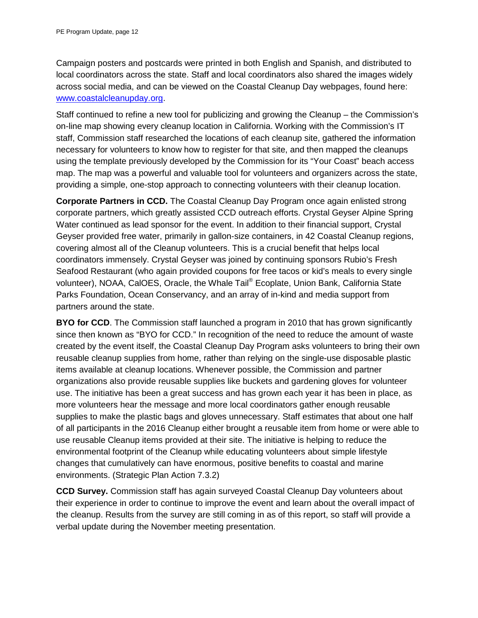Campaign posters and postcards were printed in both English and Spanish, and distributed to local coordinators across the state. Staff and local coordinators also shared the images widely across social media, and can be viewed on the Coastal Cleanup Day webpages, found here: [www.coastalcleanupday.org.](http://www.coastalcleanupday.org/)

Staff continued to refine a new tool for publicizing and growing the Cleanup – the Commission's on-line map showing every cleanup location in California. Working with the Commission's IT staff, Commission staff researched the locations of each cleanup site, gathered the information necessary for volunteers to know how to register for that site, and then mapped the cleanups using the template previously developed by the Commission for its "Your Coast" beach access map. The map was a powerful and valuable tool for volunteers and organizers across the state, providing a simple, one-stop approach to connecting volunteers with their cleanup location.

**Corporate Partners in CCD.** The Coastal Cleanup Day Program once again enlisted strong corporate partners, which greatly assisted CCD outreach efforts. Crystal Geyser Alpine Spring Water continued as lead sponsor for the event. In addition to their financial support, Crystal Geyser provided free water, primarily in gallon-size containers, in 42 Coastal Cleanup regions, covering almost all of the Cleanup volunteers. This is a crucial benefit that helps local coordinators immensely. Crystal Geyser was joined by continuing sponsors Rubio's Fresh Seafood Restaurant (who again provided coupons for free tacos or kid's meals to every single volunteer), NOAA, CalOES, Oracle, the Whale Tail® Ecoplate, Union Bank, California State Parks Foundation, Ocean Conservancy, and an array of in-kind and media support from partners around the state.

**BYO for CCD**. The Commission staff launched a program in 2010 that has grown significantly since then known as "BYO for CCD." In recognition of the need to reduce the amount of waste created by the event itself, the Coastal Cleanup Day Program asks volunteers to bring their own reusable cleanup supplies from home, rather than relying on the single-use disposable plastic items available at cleanup locations. Whenever possible, the Commission and partner organizations also provide reusable supplies like buckets and gardening gloves for volunteer use. The initiative has been a great success and has grown each year it has been in place, as more volunteers hear the message and more local coordinators gather enough reusable supplies to make the plastic bags and gloves unnecessary. Staff estimates that about one half of all participants in the 2016 Cleanup either brought a reusable item from home or were able to use reusable Cleanup items provided at their site. The initiative is helping to reduce the environmental footprint of the Cleanup while educating volunteers about simple lifestyle changes that cumulatively can have enormous, positive benefits to coastal and marine environments. (Strategic Plan Action 7.3.2)

**CCD Survey.** Commission staff has again surveyed Coastal Cleanup Day volunteers about their experience in order to continue to improve the event and learn about the overall impact of the cleanup. Results from the survey are still coming in as of this report, so staff will provide a verbal update during the November meeting presentation.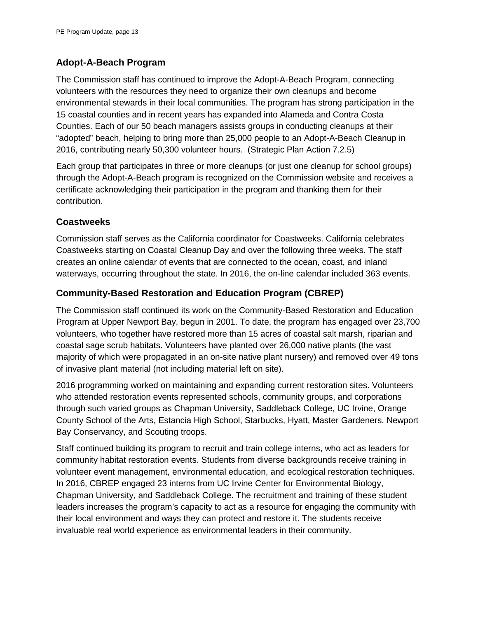#### **Adopt-A-Beach Program**

The Commission staff has continued to improve the Adopt-A-Beach Program, connecting volunteers with the resources they need to organize their own cleanups and become environmental stewards in their local communities. The program has strong participation in the 15 coastal counties and in recent years has expanded into Alameda and Contra Costa Counties. Each of our 50 beach managers assists groups in conducting cleanups at their "adopted" beach, helping to bring more than 25,000 people to an Adopt-A-Beach Cleanup in 2016, contributing nearly 50,300 volunteer hours. (Strategic Plan Action 7.2.5)

Each group that participates in three or more cleanups (or just one cleanup for school groups) through the Adopt-A-Beach program is recognized on the Commission website and receives a certificate acknowledging their participation in the program and thanking them for their contribution.

#### **Coastweeks**

Commission staff serves as the California coordinator for Coastweeks. California celebrates Coastweeks starting on Coastal Cleanup Day and over the following three weeks. The staff creates an online calendar of events that are connected to the ocean, coast, and inland waterways, occurring throughout the state. In 2016, the on-line calendar included 363 events.

#### **Community-Based Restoration and Education Program (CBREP)**

The Commission staff continued its work on the Community-Based Restoration and Education Program at Upper Newport Bay, begun in 2001. To date, the program has engaged over 23,700 volunteers, who together have restored more than 15 acres of coastal salt marsh, riparian and coastal sage scrub habitats. Volunteers have planted over 26,000 native plants (the vast majority of which were propagated in an on-site native plant nursery) and removed over 49 tons of invasive plant material (not including material left on site).

2016 programming worked on maintaining and expanding current restoration sites. Volunteers who attended restoration events represented schools, community groups, and corporations through such varied groups as Chapman University, Saddleback College, UC Irvine, Orange County School of the Arts, Estancia High School, Starbucks, Hyatt, Master Gardeners, Newport Bay Conservancy, and Scouting troops.

Staff continued building its program to recruit and train college interns, who act as leaders for community habitat restoration events. Students from diverse backgrounds receive training in volunteer event management, environmental education, and ecological restoration techniques. In 2016, CBREP engaged 23 interns from UC Irvine Center for Environmental Biology, Chapman University, and Saddleback College. The recruitment and training of these student leaders increases the program's capacity to act as a resource for engaging the community with their local environment and ways they can protect and restore it. The students receive invaluable real world experience as environmental leaders in their community.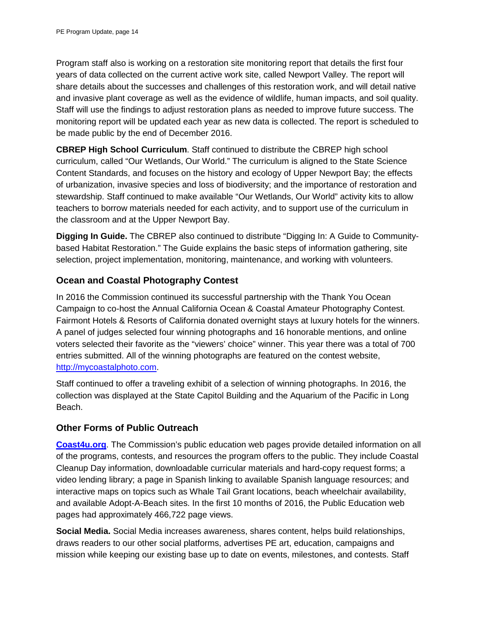Program staff also is working on a restoration site monitoring report that details the first four years of data collected on the current active work site, called Newport Valley. The report will share details about the successes and challenges of this restoration work, and will detail native and invasive plant coverage as well as the evidence of wildlife, human impacts, and soil quality. Staff will use the findings to adjust restoration plans as needed to improve future success. The monitoring report will be updated each year as new data is collected. The report is scheduled to be made public by the end of December 2016.

**CBREP High School Curriculum**. Staff continued to distribute the CBREP high school curriculum, called "Our Wetlands, Our World." The curriculum is aligned to the State Science Content Standards, and focuses on the history and ecology of Upper Newport Bay; the effects of urbanization, invasive species and loss of biodiversity; and the importance of restoration and stewardship. Staff continued to make available "Our Wetlands, Our World" activity kits to allow teachers to borrow materials needed for each activity, and to support use of the curriculum in the classroom and at the Upper Newport Bay.

**Digging In Guide.** The CBREP also continued to distribute "Digging In: A Guide to Communitybased Habitat Restoration." The Guide explains the basic steps of information gathering, site selection, project implementation, monitoring, maintenance, and working with volunteers.

#### **Ocean and Coastal Photography Contest**

In 2016 the Commission continued its successful partnership with the Thank You Ocean Campaign to co-host the Annual California Ocean & Coastal Amateur Photography Contest. Fairmont Hotels & Resorts of California donated overnight stays at luxury hotels for the winners. A panel of judges selected four winning photographs and 16 honorable mentions, and online voters selected their favorite as the "viewers' choice" winner. This year there was a total of 700 entries submitted. All of the winning photographs are featured on the contest website, [http://mycoastalphoto.com.](http://mycoastalphoto.com/)

Staff continued to offer a traveling exhibit of a selection of winning photographs. In 2016, the collection was displayed at the State Capitol Building and the Aquarium of the Pacific in Long Beach.

#### **Other Forms of Public Outreach**

**[Coast4u.org](http://coast4u.org/)**. The Commission's public education web pages provide detailed information on all of the programs, contests, and resources the program offers to the public. They include Coastal Cleanup Day information, downloadable curricular materials and hard-copy request forms; a video lending library; a page in Spanish linking to available Spanish language resources; and interactive maps on topics such as Whale Tail Grant locations, beach wheelchair availability, and available Adopt-A-Beach sites. In the first 10 months of 2016, the Public Education web pages had approximately 466,722 page views.

**Social Media.** Social Media increases awareness, shares content, helps build relationships, draws readers to our other social platforms, advertises PE art, education, campaigns and mission while keeping our existing base up to date on events, milestones, and contests. Staff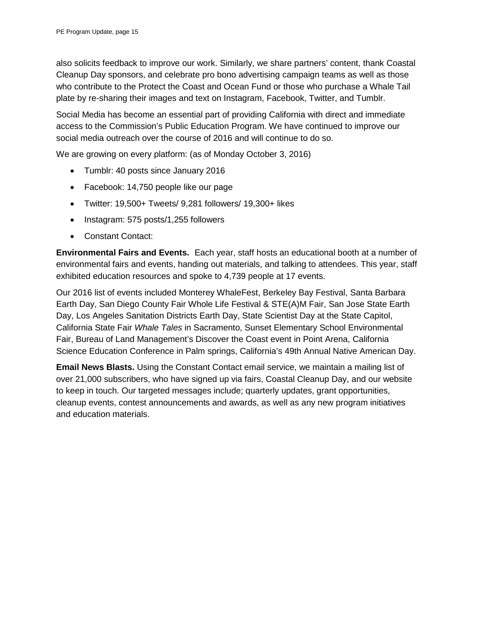also solicits feedback to improve our work. Similarly, we share partners' content, thank Coastal Cleanup Day sponsors, and celebrate pro bono advertising campaign teams as well as those who contribute to the Protect the Coast and Ocean Fund or those who purchase a Whale Tail plate by re-sharing their images and text on Instagram, Facebook, Twitter, and Tumblr.

Social Media has become an essential part of providing California with direct and immediate access to the Commission's Public Education Program. We have continued to improve our social media outreach over the course of 2016 and will continue to do so.

We are growing on every platform: (as of Monday October 3, 2016)

- Tumblr: 40 posts since January 2016
- Facebook: 14,750 people like our page
- Twitter: 19,500+ Tweets/ 9,281 followers/ 19,300+ likes
- Instagram: 575 posts/1,255 followers
- Constant Contact:

**Environmental Fairs and Events.** Each year, staff hosts an educational booth at a number of environmental fairs and events, handing out materials, and talking to attendees. This year, staff exhibited education resources and spoke to 4,739 people at 17 events.

Our 2016 list of events included Monterey WhaleFest, Berkeley Bay Festival, Santa Barbara Earth Day, San Diego County Fair Whole Life Festival & STE(A)M Fair, San Jose State Earth Day, Los Angeles Sanitation Districts Earth Day, State Scientist Day at the State Capitol, California State Fair *Whale Tales* in Sacramento, Sunset Elementary School Environmental Fair, Bureau of Land Management's Discover the Coast event in Point Arena, California Science Education Conference in Palm springs, California's 49th Annual Native American Day.

**Email News Blasts.** Using the Constant Contact email service, we maintain a mailing list of over 21,000 subscribers, who have signed up via fairs, Coastal Cleanup Day, and our website to keep in touch. Our targeted messages include; quarterly updates, grant opportunities, cleanup events, contest announcements and awards, as well as any new program initiatives and education materials.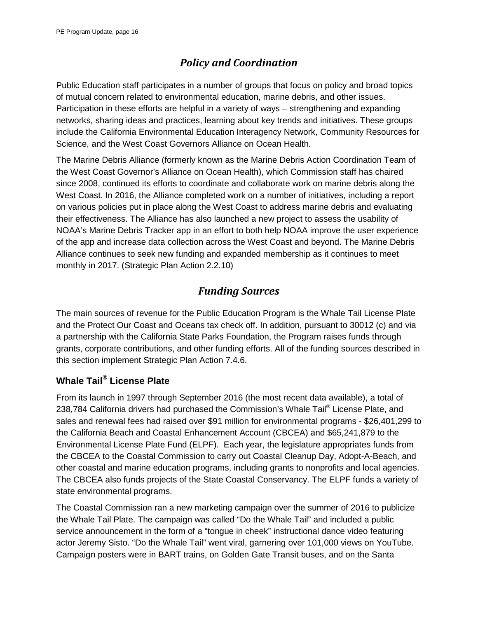## *Policy and Coordination*

Public Education staff participates in a number of groups that focus on policy and broad topics of mutual concern related to environmental education, marine debris, and other issues. Participation in these efforts are helpful in a variety of ways – strengthening and expanding networks, sharing ideas and practices, learning about key trends and initiatives. These groups include the California Environmental Education Interagency Network, Community Resources for Science, and the West Coast Governors Alliance on Ocean Health.

The Marine Debris Alliance (formerly known as the Marine Debris Action Coordination Team of the West Coast Governor's Alliance on Ocean Health), which Commission staff has chaired since 2008, continued its efforts to coordinate and collaborate work on marine debris along the West Coast. In 2016, the Alliance completed work on a number of initiatives, including a report on various policies put in place along the West Coast to address marine debris and evaluating their effectiveness. The Alliance has also launched a new project to assess the usability of NOAA's Marine Debris Tracker app in an effort to both help NOAA improve the user experience of the app and increase data collection across the West Coast and beyond. The Marine Debris Alliance continues to seek new funding and expanded membership as it continues to meet monthly in 2017. (Strategic Plan Action 2.2.10)

## *Funding Sources*

The main sources of revenue for the Public Education Program is the Whale Tail License Plate and the Protect Our Coast and Oceans tax check off. In addition, pursuant to 30012 (c) and via a partnership with the California State Parks Foundation, the Program raises funds through grants, corporate contributions, and other funding efforts. All of the funding sources described in this section implement Strategic Plan Action 7.4.6.

### **[Whale Tail](http://www.ecoplates.com/home.php)® License Plate**

From its launch in 1997 through September 2016 (the most recent data available), a total of 238,784 California drivers had purchased the Commission's [Whale Tail®](http://www.ecoplates.com/home.php) License Plate, and sales and renewal fees had raised over \$91 million for environmental programs - \$26,401,299 to the California Beach and Coastal Enhancement Account (CBCEA) and \$65,241,879 to the Environmental License Plate Fund (ELPF). Each year, the legislature appropriates funds from the CBCEA to the Coastal Commission to carry out Coastal Cleanup Day, Adopt-A-Beach, and other coastal and marine education programs, including grants to nonprofits and local agencies. The CBCEA also funds projects of the State Coastal Conservancy. The ELPF funds a variety of state environmental programs.

The Coastal Commission ran a new marketing campaign over the summer of 2016 to publicize the Whale Tail Plate. The campaign was called "Do the Whale Tail" and included a public service announcement in the form of a "tongue in cheek" instructional dance video featuring actor Jeremy Sisto. "Do the Whale Tail" went viral, garnering over 101,000 views on YouTube. Campaign posters were in BART trains, on Golden Gate Transit buses, and on the Santa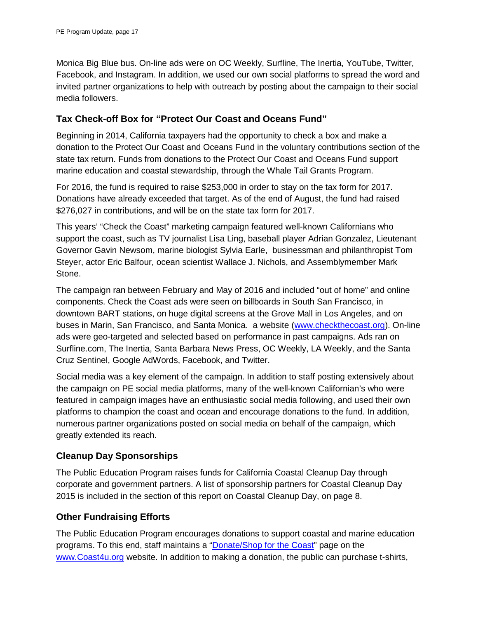Monica Big Blue bus. On-line ads were on OC Weekly, Surfline, The Inertia, YouTube, Twitter, Facebook, and Instagram. In addition, we used our own social platforms to spread the word and invited partner organizations to help with outreach by posting about the campaign to their social media followers.

#### **Tax Check-off Box for "Protect Our Coast and Oceans Fund"**

Beginning in 2014, California taxpayers had the opportunity to check a box and make a donation to the Protect Our Coast and Oceans Fund in the voluntary contributions section of the state tax return. Funds from donations to the Protect Our Coast and Oceans Fund support marine education and coastal stewardship, through the Whale Tail Grants Program.

For 2016, the fund is required to raise \$253,000 in order to stay on the tax form for 2017. Donations have already exceeded that target. As of the end of August, the fund had raised \$276,027 in contributions, and will be on the state tax form for 2017.

This years' ["Check the Coast" marketing campaign](https://www.coastal.ca.gov/publiced/checkthecoast/media.html) featured well-known Californians who support the coast, such as TV journalist Lisa Ling, baseball player Adrian Gonzalez, Lieutenant Governor Gavin Newsom, marine biologist Sylvia Earle, businessman and philanthropist Tom Steyer, actor Eric Balfour, ocean scientist Wallace J. Nichols, and Assemblymember Mark Stone.

The campaign ran between February and May of 2016 and included "out of home" and online components. Check the Coast ads were seen on billboards in South San Francisco, in downtown BART stations, on huge digital screens at the Grove Mall in Los Angeles, and on buses in Marin, San Francisco, and Santa Monica. a website [\(www.checkthecoast.org\)](http://www.checkthecoast.org/). On-line ads were geo-targeted and selected based on performance in past campaigns. Ads ran on Surfline.com, The Inertia, Santa Barbara News Press, OC Weekly, LA Weekly, and the Santa Cruz Sentinel, Google AdWords, Facebook, and Twitter.

Social media was a key element of the campaign. In addition to staff posting extensively about the campaign on PE social media platforms, many of the well-known Californian's who were featured in campaign images have an enthusiastic social media following, and used their own platforms to champion the coast and ocean and encourage donations to the fund. In addition, numerous partner organizations posted on social media on behalf of the campaign, which greatly extended its reach.

#### **Cleanup Day Sponsorships**

The Public Education Program raises funds for California Coastal Cleanup Day through corporate and government partners. A list of sponsorship partners for Coastal Cleanup Day 2015 is included in the section of this report on Coastal Cleanup Day, on page 8.

#### **Other Fundraising Efforts**

The Public Education Program encourages donations to support coastal and marine education programs. To this end, staff maintains a ["Donate/Shop for the Coast"](http://www.coastal.ca.gov/publiced/shop/shop.html) page on the [www.Coast4u.org](http://www.coast4u.org/) website. In addition to making a donation, the public can purchase t-shirts,